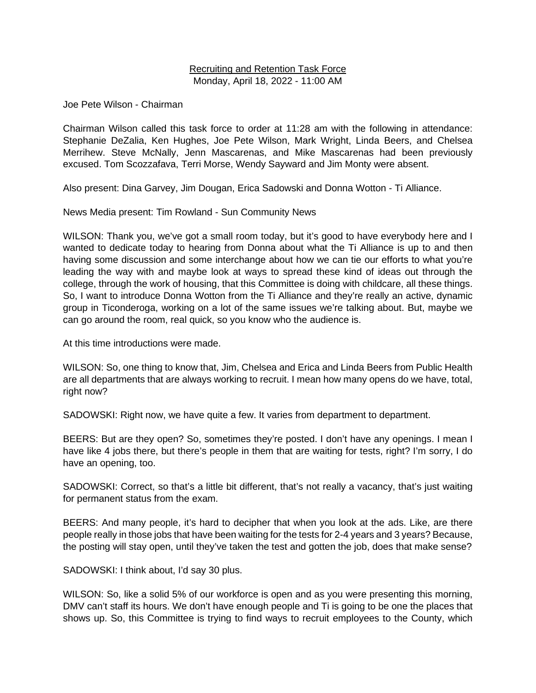# Recruiting and Retention Task Force Monday, April 18, 2022 - 11:00 AM

Joe Pete Wilson - Chairman

Chairman Wilson called this task force to order at 11:28 am with the following in attendance: Stephanie DeZalia, Ken Hughes, Joe Pete Wilson, Mark Wright, Linda Beers, and Chelsea Merrihew. Steve McNally, Jenn Mascarenas, and Mike Mascarenas had been previously excused. Tom Scozzafava, Terri Morse, Wendy Sayward and Jim Monty were absent.

Also present: Dina Garvey, Jim Dougan, Erica Sadowski and Donna Wotton - Ti Alliance.

News Media present: Tim Rowland - Sun Community News

WILSON: Thank you, we've got a small room today, but it's good to have everybody here and I wanted to dedicate today to hearing from Donna about what the Ti Alliance is up to and then having some discussion and some interchange about how we can tie our efforts to what you're leading the way with and maybe look at ways to spread these kind of ideas out through the college, through the work of housing, that this Committee is doing with childcare, all these things. So, I want to introduce Donna Wotton from the Ti Alliance and they're really an active, dynamic group in Ticonderoga, working on a lot of the same issues we're talking about. But, maybe we can go around the room, real quick, so you know who the audience is.

At this time introductions were made.

WILSON: So, one thing to know that, Jim, Chelsea and Erica and Linda Beers from Public Health are all departments that are always working to recruit. I mean how many opens do we have, total, right now?

SADOWSKI: Right now, we have quite a few. It varies from department to department.

BEERS: But are they open? So, sometimes they're posted. I don't have any openings. I mean I have like 4 jobs there, but there's people in them that are waiting for tests, right? I'm sorry, I do have an opening, too.

SADOWSKI: Correct, so that's a little bit different, that's not really a vacancy, that's just waiting for permanent status from the exam.

BEERS: And many people, it's hard to decipher that when you look at the ads. Like, are there people really in those jobs that have been waiting for the tests for 2-4 years and 3 years? Because, the posting will stay open, until they've taken the test and gotten the job, does that make sense?

SADOWSKI: I think about, I'd say 30 plus.

WILSON: So, like a solid 5% of our workforce is open and as you were presenting this morning, DMV can't staff its hours. We don't have enough people and Ti is going to be one the places that shows up. So, this Committee is trying to find ways to recruit employees to the County, which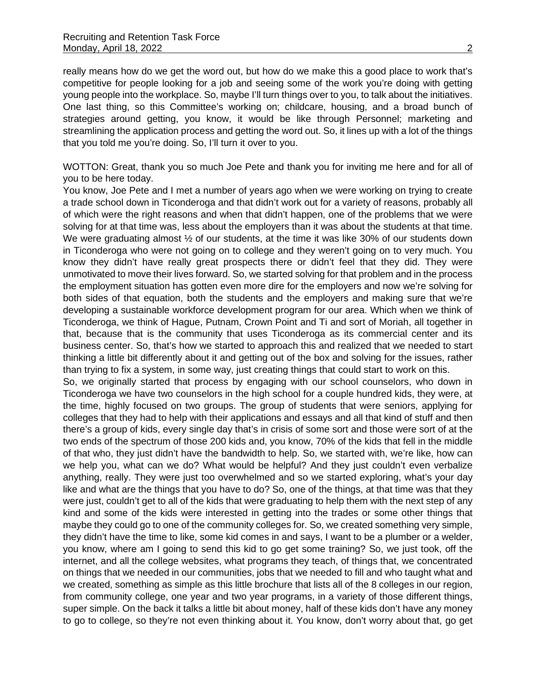really means how do we get the word out, but how do we make this a good place to work that's competitive for people looking for a job and seeing some of the work you're doing with getting young people into the workplace. So, maybe I'll turn things over to you, to talk about the initiatives. One last thing, so this Committee's working on; childcare, housing, and a broad bunch of strategies around getting, you know, it would be like through Personnel; marketing and streamlining the application process and getting the word out. So, it lines up with a lot of the things that you told me you're doing. So, I'll turn it over to you.

WOTTON: Great, thank you so much Joe Pete and thank you for inviting me here and for all of you to be here today.

You know, Joe Pete and I met a number of years ago when we were working on trying to create a trade school down in Ticonderoga and that didn't work out for a variety of reasons, probably all of which were the right reasons and when that didn't happen, one of the problems that we were solving for at that time was, less about the employers than it was about the students at that time. We were graduating almost  $\frac{1}{2}$  of our students, at the time it was like 30% of our students down in Ticonderoga who were not going on to college and they weren't going on to very much. You know they didn't have really great prospects there or didn't feel that they did. They were unmotivated to move their lives forward. So, we started solving for that problem and in the process the employment situation has gotten even more dire for the employers and now we're solving for both sides of that equation, both the students and the employers and making sure that we're developing a sustainable workforce development program for our area. Which when we think of Ticonderoga, we think of Hague, Putnam, Crown Point and Ti and sort of Moriah, all together in that, because that is the community that uses Ticonderoga as its commercial center and its business center. So, that's how we started to approach this and realized that we needed to start thinking a little bit differently about it and getting out of the box and solving for the issues, rather than trying to fix a system, in some way, just creating things that could start to work on this.

So, we originally started that process by engaging with our school counselors, who down in Ticonderoga we have two counselors in the high school for a couple hundred kids, they were, at the time, highly focused on two groups. The group of students that were seniors, applying for colleges that they had to help with their applications and essays and all that kind of stuff and then there's a group of kids, every single day that's in crisis of some sort and those were sort of at the two ends of the spectrum of those 200 kids and, you know, 70% of the kids that fell in the middle of that who, they just didn't have the bandwidth to help. So, we started with, we're like, how can we help you, what can we do? What would be helpful? And they just couldn't even verbalize anything, really. They were just too overwhelmed and so we started exploring, what's your day like and what are the things that you have to do? So, one of the things, at that time was that they were just, couldn't get to all of the kids that were graduating to help them with the next step of any kind and some of the kids were interested in getting into the trades or some other things that maybe they could go to one of the community colleges for. So, we created something very simple, they didn't have the time to like, some kid comes in and says, I want to be a plumber or a welder, you know, where am I going to send this kid to go get some training? So, we just took, off the internet, and all the college websites, what programs they teach, of things that, we concentrated on things that we needed in our communities, jobs that we needed to fill and who taught what and we created, something as simple as this little brochure that lists all of the 8 colleges in our region, from community college, one year and two year programs, in a variety of those different things, super simple. On the back it talks a little bit about money, half of these kids don't have any money to go to college, so they're not even thinking about it. You know, don't worry about that, go get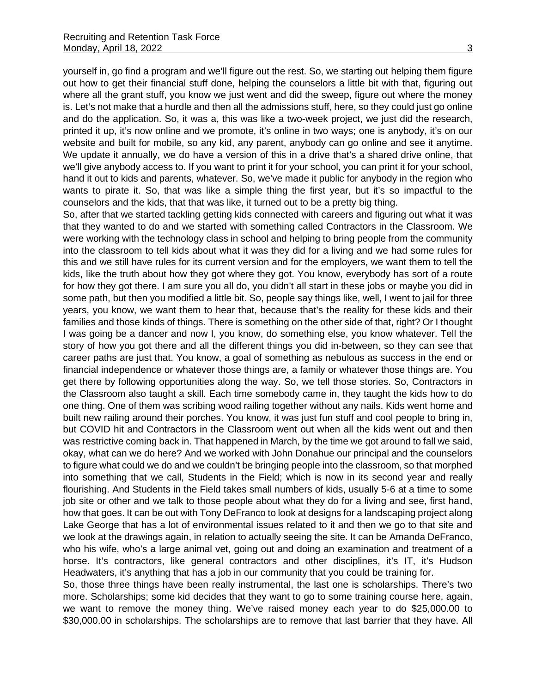yourself in, go find a program and we'll figure out the rest. So, we starting out helping them figure out how to get their financial stuff done, helping the counselors a little bit with that, figuring out where all the grant stuff, you know we just went and did the sweep, figure out where the money is. Let's not make that a hurdle and then all the admissions stuff, here, so they could just go online and do the application. So, it was a, this was like a two-week project, we just did the research, printed it up, it's now online and we promote, it's online in two ways; one is anybody, it's on our website and built for mobile, so any kid, any parent, anybody can go online and see it anytime. We update it annually, we do have a version of this in a drive that's a shared drive online, that we'll give anybody access to. If you want to print it for your school, you can print it for your school, hand it out to kids and parents, whatever. So, we've made it public for anybody in the region who wants to pirate it. So, that was like a simple thing the first year, but it's so impactful to the counselors and the kids, that that was like, it turned out to be a pretty big thing.

So, after that we started tackling getting kids connected with careers and figuring out what it was that they wanted to do and we started with something called Contractors in the Classroom. We were working with the technology class in school and helping to bring people from the community into the classroom to tell kids about what it was they did for a living and we had some rules for this and we still have rules for its current version and for the employers, we want them to tell the kids, like the truth about how they got where they got. You know, everybody has sort of a route for how they got there. I am sure you all do, you didn't all start in these jobs or maybe you did in some path, but then you modified a little bit. So, people say things like, well, I went to jail for three years, you know, we want them to hear that, because that's the reality for these kids and their families and those kinds of things. There is something on the other side of that, right? Or I thought I was going be a dancer and now I, you know, do something else, you know whatever. Tell the story of how you got there and all the different things you did in-between, so they can see that career paths are just that. You know, a goal of something as nebulous as success in the end or financial independence or whatever those things are, a family or whatever those things are. You get there by following opportunities along the way. So, we tell those stories. So, Contractors in the Classroom also taught a skill. Each time somebody came in, they taught the kids how to do one thing. One of them was scribing wood railing together without any nails. Kids went home and built new railing around their porches. You know, it was just fun stuff and cool people to bring in, but COVID hit and Contractors in the Classroom went out when all the kids went out and then was restrictive coming back in. That happened in March, by the time we got around to fall we said, okay, what can we do here? And we worked with John Donahue our principal and the counselors to figure what could we do and we couldn't be bringing people into the classroom, so that morphed into something that we call, Students in the Field; which is now in its second year and really flourishing. And Students in the Field takes small numbers of kids, usually 5-6 at a time to some job site or other and we talk to those people about what they do for a living and see, first hand, how that goes. It can be out with Tony DeFranco to look at designs for a landscaping project along Lake George that has a lot of environmental issues related to it and then we go to that site and we look at the drawings again, in relation to actually seeing the site. It can be Amanda DeFranco, who his wife, who's a large animal vet, going out and doing an examination and treatment of a horse. It's contractors, like general contractors and other disciplines, it's IT, it's Hudson Headwaters, it's anything that has a job in our community that you could be training for.

So, those three things have been really instrumental, the last one is scholarships. There's two more. Scholarships; some kid decides that they want to go to some training course here, again, we want to remove the money thing. We've raised money each year to do \$25,000.00 to \$30,000.00 in scholarships. The scholarships are to remove that last barrier that they have. All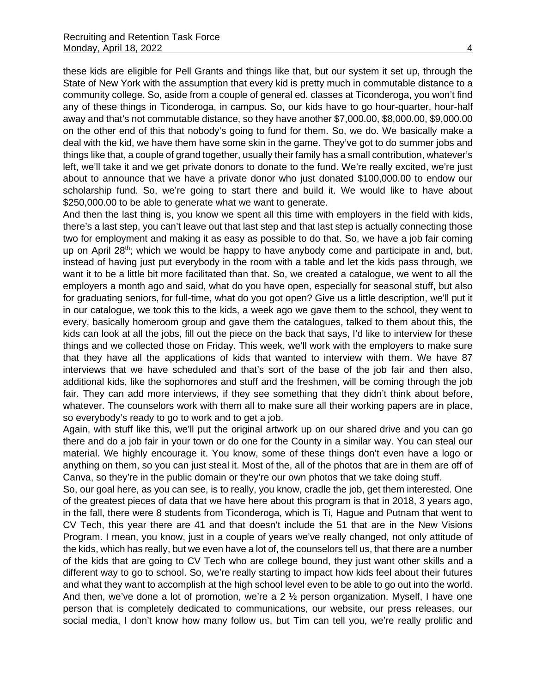these kids are eligible for Pell Grants and things like that, but our system it set up, through the State of New York with the assumption that every kid is pretty much in commutable distance to a community college. So, aside from a couple of general ed. classes at Ticonderoga, you won't find any of these things in Ticonderoga, in campus. So, our kids have to go hour-quarter, hour-half away and that's not commutable distance, so they have another \$7,000.00, \$8,000.00, \$9,000.00 on the other end of this that nobody's going to fund for them. So, we do. We basically make a deal with the kid, we have them have some skin in the game. They've got to do summer jobs and things like that, a couple of grand together, usually their family has a small contribution, whatever's left, we'll take it and we get private donors to donate to the fund. We're really excited, we're just about to announce that we have a private donor who just donated \$100,000.00 to endow our scholarship fund. So, we're going to start there and build it. We would like to have about \$250,000.00 to be able to generate what we want to generate.

And then the last thing is, you know we spent all this time with employers in the field with kids, there's a last step, you can't leave out that last step and that last step is actually connecting those two for employment and making it as easy as possible to do that. So, we have a job fair coming up on April 28<sup>th</sup>; which we would be happy to have anybody come and participate in and, but, instead of having just put everybody in the room with a table and let the kids pass through, we want it to be a little bit more facilitated than that. So, we created a catalogue, we went to all the employers a month ago and said, what do you have open, especially for seasonal stuff, but also for graduating seniors, for full-time, what do you got open? Give us a little description, we'll put it in our catalogue, we took this to the kids, a week ago we gave them to the school, they went to every, basically homeroom group and gave them the catalogues, talked to them about this, the kids can look at all the jobs, fill out the piece on the back that says, I'd like to interview for these things and we collected those on Friday. This week, we'll work with the employers to make sure that they have all the applications of kids that wanted to interview with them. We have 87 interviews that we have scheduled and that's sort of the base of the job fair and then also, additional kids, like the sophomores and stuff and the freshmen, will be coming through the job fair. They can add more interviews, if they see something that they didn't think about before, whatever. The counselors work with them all to make sure all their working papers are in place, so everybody's ready to go to work and to get a job.

Again, with stuff like this, we'll put the original artwork up on our shared drive and you can go there and do a job fair in your town or do one for the County in a similar way. You can steal our material. We highly encourage it. You know, some of these things don't even have a logo or anything on them, so you can just steal it. Most of the, all of the photos that are in them are off of Canva, so they're in the public domain or they're our own photos that we take doing stuff.

So, our goal here, as you can see, is to really, you know, cradle the job, get them interested. One of the greatest pieces of data that we have here about this program is that in 2018, 3 years ago, in the fall, there were 8 students from Ticonderoga, which is Ti, Hague and Putnam that went to CV Tech, this year there are 41 and that doesn't include the 51 that are in the New Visions Program. I mean, you know, just in a couple of years we've really changed, not only attitude of the kids, which has really, but we even have a lot of, the counselors tell us, that there are a number of the kids that are going to CV Tech who are college bound, they just want other skills and a different way to go to school. So, we're really starting to impact how kids feel about their futures and what they want to accomplish at the high school level even to be able to go out into the world. And then, we've done a lot of promotion, we're a 2 ½ person organization. Myself, I have one person that is completely dedicated to communications, our website, our press releases, our social media, I don't know how many follow us, but Tim can tell you, we're really prolific and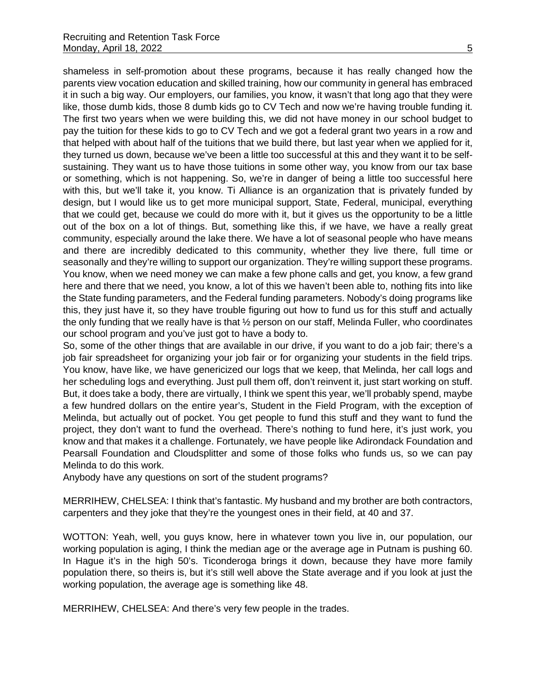shameless in self-promotion about these programs, because it has really changed how the parents view vocation education and skilled training, how our community in general has embraced it in such a big way. Our employers, our families, you know, it wasn't that long ago that they were like, those dumb kids, those 8 dumb kids go to CV Tech and now we're having trouble funding it. The first two years when we were building this, we did not have money in our school budget to pay the tuition for these kids to go to CV Tech and we got a federal grant two years in a row and that helped with about half of the tuitions that we build there, but last year when we applied for it, they turned us down, because we've been a little too successful at this and they want it to be selfsustaining. They want us to have those tuitions in some other way, you know from our tax base or something, which is not happening. So, we're in danger of being a little too successful here with this, but we'll take it, you know. Ti Alliance is an organization that is privately funded by design, but I would like us to get more municipal support, State, Federal, municipal, everything that we could get, because we could do more with it, but it gives us the opportunity to be a little out of the box on a lot of things. But, something like this, if we have, we have a really great community, especially around the lake there. We have a lot of seasonal people who have means and there are incredibly dedicated to this community, whether they live there, full time or seasonally and they're willing to support our organization. They're willing support these programs. You know, when we need money we can make a few phone calls and get, you know, a few grand here and there that we need, you know, a lot of this we haven't been able to, nothing fits into like the State funding parameters, and the Federal funding parameters. Nobody's doing programs like this, they just have it, so they have trouble figuring out how to fund us for this stuff and actually the only funding that we really have is that ½ person on our staff, Melinda Fuller, who coordinates our school program and you've just got to have a body to.

So, some of the other things that are available in our drive, if you want to do a job fair; there's a job fair spreadsheet for organizing your job fair or for organizing your students in the field trips. You know, have like, we have genericized our logs that we keep, that Melinda, her call logs and her scheduling logs and everything. Just pull them off, don't reinvent it, just start working on stuff. But, it does take a body, there are virtually, I think we spent this year, we'll probably spend, maybe a few hundred dollars on the entire year's, Student in the Field Program, with the exception of Melinda, but actually out of pocket. You get people to fund this stuff and they want to fund the project, they don't want to fund the overhead. There's nothing to fund here, it's just work, you know and that makes it a challenge. Fortunately, we have people like Adirondack Foundation and Pearsall Foundation and Cloudsplitter and some of those folks who funds us, so we can pay Melinda to do this work.

Anybody have any questions on sort of the student programs?

MERRIHEW, CHELSEA: I think that's fantastic. My husband and my brother are both contractors, carpenters and they joke that they're the youngest ones in their field, at 40 and 37.

WOTTON: Yeah, well, you guys know, here in whatever town you live in, our population, our working population is aging, I think the median age or the average age in Putnam is pushing 60. In Hague it's in the high 50's. Ticonderoga brings it down, because they have more family population there, so theirs is, but it's still well above the State average and if you look at just the working population, the average age is something like 48.

MERRIHEW, CHELSEA: And there's very few people in the trades.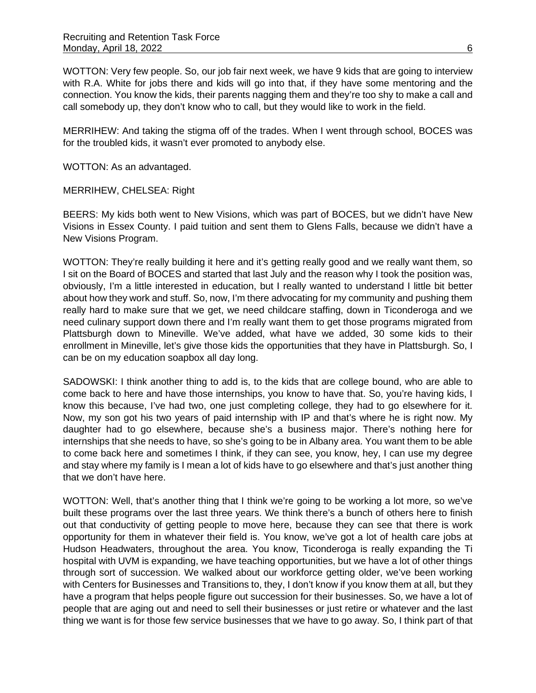WOTTON: Very few people. So, our job fair next week, we have 9 kids that are going to interview with R.A. White for jobs there and kids will go into that, if they have some mentoring and the connection. You know the kids, their parents nagging them and they're too shy to make a call and call somebody up, they don't know who to call, but they would like to work in the field.

MERRIHEW: And taking the stigma off of the trades. When I went through school, BOCES was for the troubled kids, it wasn't ever promoted to anybody else.

WOTTON: As an advantaged.

MERRIHEW, CHELSEA: Right

BEERS: My kids both went to New Visions, which was part of BOCES, but we didn't have New Visions in Essex County. I paid tuition and sent them to Glens Falls, because we didn't have a New Visions Program.

WOTTON: They're really building it here and it's getting really good and we really want them, so I sit on the Board of BOCES and started that last July and the reason why I took the position was, obviously, I'm a little interested in education, but I really wanted to understand I little bit better about how they work and stuff. So, now, I'm there advocating for my community and pushing them really hard to make sure that we get, we need childcare staffing, down in Ticonderoga and we need culinary support down there and I'm really want them to get those programs migrated from Plattsburgh down to Mineville. We've added, what have we added, 30 some kids to their enrollment in Mineville, let's give those kids the opportunities that they have in Plattsburgh. So, I can be on my education soapbox all day long.

SADOWSKI: I think another thing to add is, to the kids that are college bound, who are able to come back to here and have those internships, you know to have that. So, you're having kids, I know this because, I've had two, one just completing college, they had to go elsewhere for it. Now, my son got his two years of paid internship with IP and that's where he is right now. My daughter had to go elsewhere, because she's a business major. There's nothing here for internships that she needs to have, so she's going to be in Albany area. You want them to be able to come back here and sometimes I think, if they can see, you know, hey, I can use my degree and stay where my family is I mean a lot of kids have to go elsewhere and that's just another thing that we don't have here.

WOTTON: Well, that's another thing that I think we're going to be working a lot more, so we've built these programs over the last three years. We think there's a bunch of others here to finish out that conductivity of getting people to move here, because they can see that there is work opportunity for them in whatever their field is. You know, we've got a lot of health care jobs at Hudson Headwaters, throughout the area. You know, Ticonderoga is really expanding the Ti hospital with UVM is expanding, we have teaching opportunities, but we have a lot of other things through sort of succession. We walked about our workforce getting older, we've been working with Centers for Businesses and Transitions to, they, I don't know if you know them at all, but they have a program that helps people figure out succession for their businesses. So, we have a lot of people that are aging out and need to sell their businesses or just retire or whatever and the last thing we want is for those few service businesses that we have to go away. So, I think part of that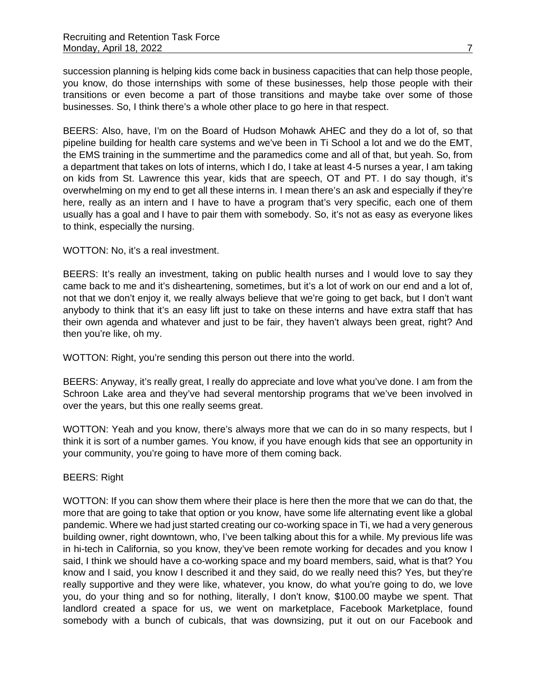succession planning is helping kids come back in business capacities that can help those people, you know, do those internships with some of these businesses, help those people with their transitions or even become a part of those transitions and maybe take over some of those businesses. So, I think there's a whole other place to go here in that respect.

BEERS: Also, have, I'm on the Board of Hudson Mohawk AHEC and they do a lot of, so that pipeline building for health care systems and we've been in Ti School a lot and we do the EMT, the EMS training in the summertime and the paramedics come and all of that, but yeah. So, from a department that takes on lots of interns, which I do, I take at least 4-5 nurses a year, I am taking on kids from St. Lawrence this year, kids that are speech, OT and PT. I do say though, it's overwhelming on my end to get all these interns in. I mean there's an ask and especially if they're here, really as an intern and I have to have a program that's very specific, each one of them usually has a goal and I have to pair them with somebody. So, it's not as easy as everyone likes to think, especially the nursing.

# WOTTON: No, it's a real investment.

BEERS: It's really an investment, taking on public health nurses and I would love to say they came back to me and it's disheartening, sometimes, but it's a lot of work on our end and a lot of, not that we don't enjoy it, we really always believe that we're going to get back, but I don't want anybody to think that it's an easy lift just to take on these interns and have extra staff that has their own agenda and whatever and just to be fair, they haven't always been great, right? And then you're like, oh my.

WOTTON: Right, you're sending this person out there into the world.

BEERS: Anyway, it's really great, I really do appreciate and love what you've done. I am from the Schroon Lake area and they've had several mentorship programs that we've been involved in over the years, but this one really seems great.

WOTTON: Yeah and you know, there's always more that we can do in so many respects, but I think it is sort of a number games. You know, if you have enough kids that see an opportunity in your community, you're going to have more of them coming back.

# BEERS: Right

WOTTON: If you can show them where their place is here then the more that we can do that, the more that are going to take that option or you know, have some life alternating event like a global pandemic. Where we had just started creating our co-working space in Ti, we had a very generous building owner, right downtown, who, I've been talking about this for a while. My previous life was in hi-tech in California, so you know, they've been remote working for decades and you know I said, I think we should have a co-working space and my board members, said, what is that? You know and I said, you know I described it and they said, do we really need this? Yes, but they're really supportive and they were like, whatever, you know, do what you're going to do, we love you, do your thing and so for nothing, literally, I don't know, \$100.00 maybe we spent. That landlord created a space for us, we went on marketplace, Facebook Marketplace, found somebody with a bunch of cubicals, that was downsizing, put it out on our Facebook and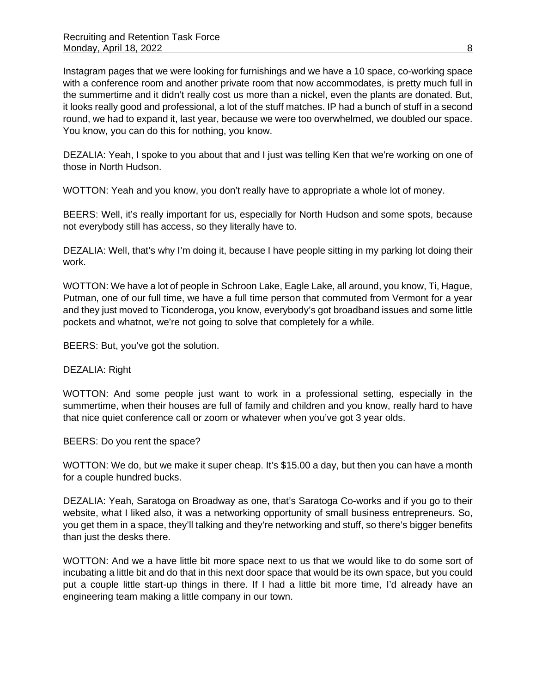Instagram pages that we were looking for furnishings and we have a 10 space, co-working space with a conference room and another private room that now accommodates, is pretty much full in the summertime and it didn't really cost us more than a nickel, even the plants are donated. But, it looks really good and professional, a lot of the stuff matches. IP had a bunch of stuff in a second round, we had to expand it, last year, because we were too overwhelmed, we doubled our space. You know, you can do this for nothing, you know.

DEZALIA: Yeah, I spoke to you about that and I just was telling Ken that we're working on one of those in North Hudson.

WOTTON: Yeah and you know, you don't really have to appropriate a whole lot of money.

BEERS: Well, it's really important for us, especially for North Hudson and some spots, because not everybody still has access, so they literally have to.

DEZALIA: Well, that's why I'm doing it, because I have people sitting in my parking lot doing their work.

WOTTON: We have a lot of people in Schroon Lake, Eagle Lake, all around, you know, Ti, Hague, Putman, one of our full time, we have a full time person that commuted from Vermont for a year and they just moved to Ticonderoga, you know, everybody's got broadband issues and some little pockets and whatnot, we're not going to solve that completely for a while.

BEERS: But, you've got the solution.

#### DEZALIA: Right

WOTTON: And some people just want to work in a professional setting, especially in the summertime, when their houses are full of family and children and you know, really hard to have that nice quiet conference call or zoom or whatever when you've got 3 year olds.

BEERS: Do you rent the space?

WOTTON: We do, but we make it super cheap. It's \$15.00 a day, but then you can have a month for a couple hundred bucks.

DEZALIA: Yeah, Saratoga on Broadway as one, that's Saratoga Co-works and if you go to their website, what I liked also, it was a networking opportunity of small business entrepreneurs. So, you get them in a space, they'll talking and they're networking and stuff, so there's bigger benefits than just the desks there.

WOTTON: And we a have little bit more space next to us that we would like to do some sort of incubating a little bit and do that in this next door space that would be its own space, but you could put a couple little start-up things in there. If I had a little bit more time, I'd already have an engineering team making a little company in our town.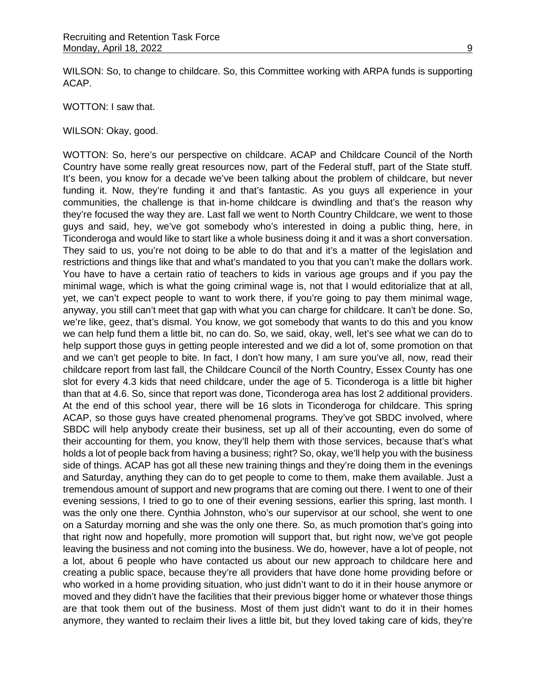WILSON: So, to change to childcare. So, this Committee working with ARPA funds is supporting ACAP.

WOTTON: I saw that.

WILSON: Okay, good.

WOTTON: So, here's our perspective on childcare. ACAP and Childcare Council of the North Country have some really great resources now, part of the Federal stuff, part of the State stuff. It's been, you know for a decade we've been talking about the problem of childcare, but never funding it. Now, they're funding it and that's fantastic. As you guys all experience in your communities, the challenge is that in-home childcare is dwindling and that's the reason why they're focused the way they are. Last fall we went to North Country Childcare, we went to those guys and said, hey, we've got somebody who's interested in doing a public thing, here, in Ticonderoga and would like to start like a whole business doing it and it was a short conversation. They said to us, you're not doing to be able to do that and it's a matter of the legislation and restrictions and things like that and what's mandated to you that you can't make the dollars work. You have to have a certain ratio of teachers to kids in various age groups and if you pay the minimal wage, which is what the going criminal wage is, not that I would editorialize that at all, yet, we can't expect people to want to work there, if you're going to pay them minimal wage, anyway, you still can't meet that gap with what you can charge for childcare. It can't be done. So, we're like, geez, that's dismal. You know, we got somebody that wants to do this and you know we can help fund them a little bit, no can do. So, we said, okay, well, let's see what we can do to help support those guys in getting people interested and we did a lot of, some promotion on that and we can't get people to bite. In fact, I don't how many, I am sure you've all, now, read their childcare report from last fall, the Childcare Council of the North Country, Essex County has one slot for every 4.3 kids that need childcare, under the age of 5. Ticonderoga is a little bit higher than that at 4.6. So, since that report was done, Ticonderoga area has lost 2 additional providers. At the end of this school year, there will be 16 slots in Ticonderoga for childcare. This spring ACAP, so those guys have created phenomenal programs. They've got SBDC involved, where SBDC will help anybody create their business, set up all of their accounting, even do some of their accounting for them, you know, they'll help them with those services, because that's what holds a lot of people back from having a business; right? So, okay, we'll help you with the business side of things. ACAP has got all these new training things and they're doing them in the evenings and Saturday, anything they can do to get people to come to them, make them available. Just a tremendous amount of support and new programs that are coming out there. I went to one of their evening sessions, I tried to go to one of their evening sessions, earlier this spring, last month. I was the only one there. Cynthia Johnston, who's our supervisor at our school, she went to one on a Saturday morning and she was the only one there. So, as much promotion that's going into that right now and hopefully, more promotion will support that, but right now, we've got people leaving the business and not coming into the business. We do, however, have a lot of people, not a lot, about 6 people who have contacted us about our new approach to childcare here and creating a public space, because they're all providers that have done home providing before or who worked in a home providing situation, who just didn't want to do it in their house anymore or moved and they didn't have the facilities that their previous bigger home or whatever those things are that took them out of the business. Most of them just didn't want to do it in their homes anymore, they wanted to reclaim their lives a little bit, but they loved taking care of kids, they're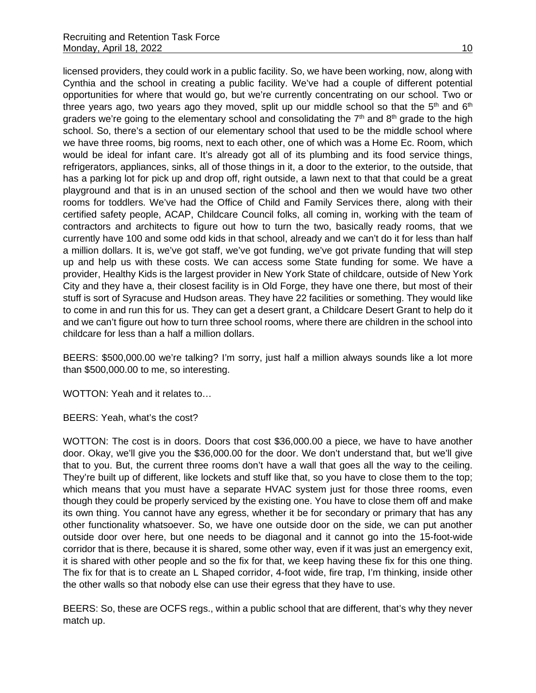licensed providers, they could work in a public facility. So, we have been working, now, along with Cynthia and the school in creating a public facility. We've had a couple of different potential opportunities for where that would go, but we're currently concentrating on our school. Two or three years ago, two years ago they moved, split up our middle school so that the  $5<sup>th</sup>$  and  $6<sup>th</sup>$ graders we're going to the elementary school and consolidating the  $7<sup>th</sup>$  and  $8<sup>th</sup>$  grade to the high school. So, there's a section of our elementary school that used to be the middle school where we have three rooms, big rooms, next to each other, one of which was a Home Ec. Room, which would be ideal for infant care. It's already got all of its plumbing and its food service things, refrigerators, appliances, sinks, all of those things in it, a door to the exterior, to the outside, that has a parking lot for pick up and drop off, right outside, a lawn next to that that could be a great playground and that is in an unused section of the school and then we would have two other rooms for toddlers. We've had the Office of Child and Family Services there, along with their certified safety people, ACAP, Childcare Council folks, all coming in, working with the team of contractors and architects to figure out how to turn the two, basically ready rooms, that we currently have 100 and some odd kids in that school, already and we can't do it for less than half a million dollars. It is, we've got staff, we've got funding, we've got private funding that will step up and help us with these costs. We can access some State funding for some. We have a provider, Healthy Kids is the largest provider in New York State of childcare, outside of New York City and they have a, their closest facility is in Old Forge, they have one there, but most of their stuff is sort of Syracuse and Hudson areas. They have 22 facilities or something. They would like to come in and run this for us. They can get a desert grant, a Childcare Desert Grant to help do it and we can't figure out how to turn three school rooms, where there are children in the school into childcare for less than a half a million dollars.

BEERS: \$500,000.00 we're talking? I'm sorry, just half a million always sounds like a lot more than \$500,000.00 to me, so interesting.

WOTTON: Yeah and it relates to…

BEERS: Yeah, what's the cost?

WOTTON: The cost is in doors. Doors that cost \$36,000.00 a piece, we have to have another door. Okay, we'll give you the \$36,000.00 for the door. We don't understand that, but we'll give that to you. But, the current three rooms don't have a wall that goes all the way to the ceiling. They're built up of different, like lockets and stuff like that, so you have to close them to the top; which means that you must have a separate HVAC system just for those three rooms, even though they could be properly serviced by the existing one. You have to close them off and make its own thing. You cannot have any egress, whether it be for secondary or primary that has any other functionality whatsoever. So, we have one outside door on the side, we can put another outside door over here, but one needs to be diagonal and it cannot go into the 15-foot-wide corridor that is there, because it is shared, some other way, even if it was just an emergency exit, it is shared with other people and so the fix for that, we keep having these fix for this one thing. The fix for that is to create an L Shaped corridor, 4-foot wide, fire trap, I'm thinking, inside other the other walls so that nobody else can use their egress that they have to use.

BEERS: So, these are OCFS regs., within a public school that are different, that's why they never match up.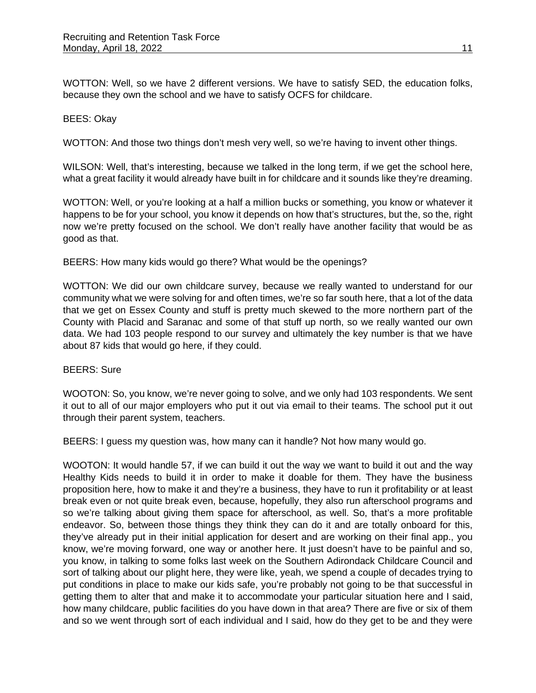WOTTON: Well, so we have 2 different versions. We have to satisfy SED, the education folks, because they own the school and we have to satisfy OCFS for childcare.

#### BEES: Okay

WOTTON: And those two things don't mesh very well, so we're having to invent other things.

WILSON: Well, that's interesting, because we talked in the long term, if we get the school here, what a great facility it would already have built in for childcare and it sounds like they're dreaming.

WOTTON: Well, or you're looking at a half a million bucks or something, you know or whatever it happens to be for your school, you know it depends on how that's structures, but the, so the, right now we're pretty focused on the school. We don't really have another facility that would be as good as that.

BEERS: How many kids would go there? What would be the openings?

WOTTON: We did our own childcare survey, because we really wanted to understand for our community what we were solving for and often times, we're so far south here, that a lot of the data that we get on Essex County and stuff is pretty much skewed to the more northern part of the County with Placid and Saranac and some of that stuff up north, so we really wanted our own data. We had 103 people respond to our survey and ultimately the key number is that we have about 87 kids that would go here, if they could.

#### BEERS: Sure

WOOTON: So, you know, we're never going to solve, and we only had 103 respondents. We sent it out to all of our major employers who put it out via email to their teams. The school put it out through their parent system, teachers.

BEERS: I guess my question was, how many can it handle? Not how many would go.

WOOTON: It would handle 57, if we can build it out the way we want to build it out and the way Healthy Kids needs to build it in order to make it doable for them. They have the business proposition here, how to make it and they're a business, they have to run it profitability or at least break even or not quite break even, because, hopefully, they also run afterschool programs and so we're talking about giving them space for afterschool, as well. So, that's a more profitable endeavor. So, between those things they think they can do it and are totally onboard for this, they've already put in their initial application for desert and are working on their final app., you know, we're moving forward, one way or another here. It just doesn't have to be painful and so, you know, in talking to some folks last week on the Southern Adirondack Childcare Council and sort of talking about our plight here, they were like, yeah, we spend a couple of decades trying to put conditions in place to make our kids safe, you're probably not going to be that successful in getting them to alter that and make it to accommodate your particular situation here and I said, how many childcare, public facilities do you have down in that area? There are five or six of them and so we went through sort of each individual and I said, how do they get to be and they were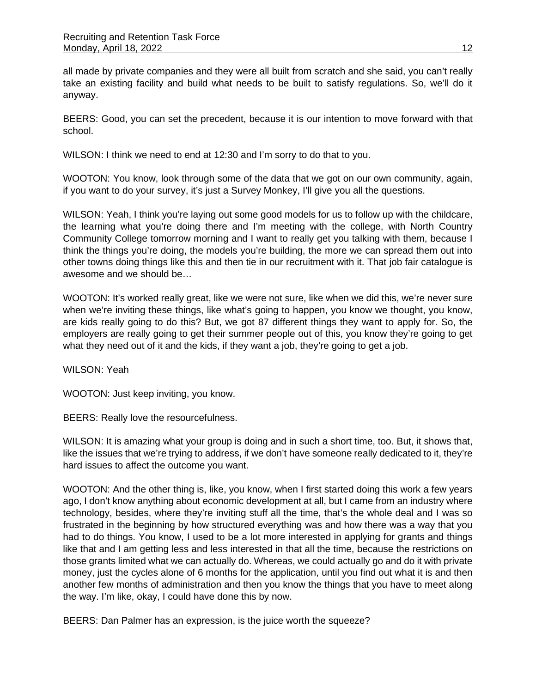all made by private companies and they were all built from scratch and she said, you can't really take an existing facility and build what needs to be built to satisfy regulations. So, we'll do it anyway.

BEERS: Good, you can set the precedent, because it is our intention to move forward with that school.

WILSON: I think we need to end at 12:30 and I'm sorry to do that to you.

WOOTON: You know, look through some of the data that we got on our own community, again, if you want to do your survey, it's just a Survey Monkey, I'll give you all the questions.

WILSON: Yeah, I think you're laying out some good models for us to follow up with the childcare, the learning what you're doing there and I'm meeting with the college, with North Country Community College tomorrow morning and I want to really get you talking with them, because I think the things you're doing, the models you're building, the more we can spread them out into other towns doing things like this and then tie in our recruitment with it. That job fair catalogue is awesome and we should be…

WOOTON: It's worked really great, like we were not sure, like when we did this, we're never sure when we're inviting these things, like what's going to happen, you know we thought, you know, are kids really going to do this? But, we got 87 different things they want to apply for. So, the employers are really going to get their summer people out of this, you know they're going to get what they need out of it and the kids, if they want a job, they're going to get a job.

WILSON: Yeah

WOOTON: Just keep inviting, you know.

BEERS: Really love the resourcefulness.

WILSON: It is amazing what your group is doing and in such a short time, too. But, it shows that, like the issues that we're trying to address, if we don't have someone really dedicated to it, they're hard issues to affect the outcome you want.

WOOTON: And the other thing is, like, you know, when I first started doing this work a few years ago, I don't know anything about economic development at all, but I came from an industry where technology, besides, where they're inviting stuff all the time, that's the whole deal and I was so frustrated in the beginning by how structured everything was and how there was a way that you had to do things. You know, I used to be a lot more interested in applying for grants and things like that and I am getting less and less interested in that all the time, because the restrictions on those grants limited what we can actually do. Whereas, we could actually go and do it with private money, just the cycles alone of 6 months for the application, until you find out what it is and then another few months of administration and then you know the things that you have to meet along the way. I'm like, okay, I could have done this by now.

BEERS: Dan Palmer has an expression, is the juice worth the squeeze?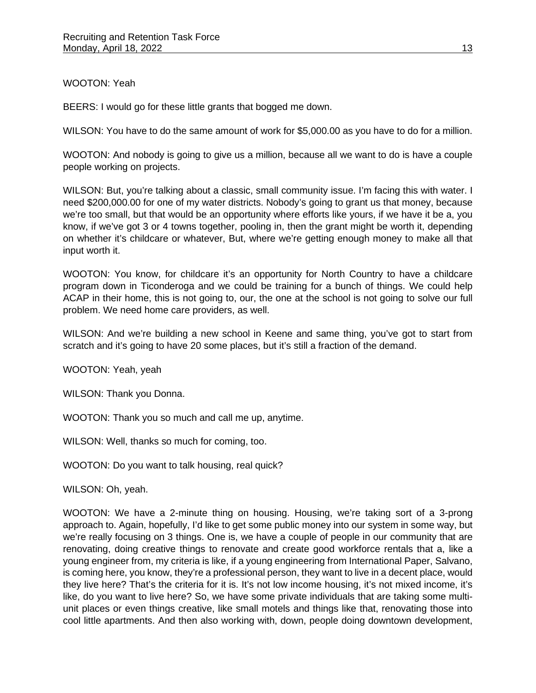# WOOTON: Yeah

BEERS: I would go for these little grants that bogged me down.

WILSON: You have to do the same amount of work for \$5,000.00 as you have to do for a million.

WOOTON: And nobody is going to give us a million, because all we want to do is have a couple people working on projects.

WILSON: But, you're talking about a classic, small community issue. I'm facing this with water. I need \$200,000.00 for one of my water districts. Nobody's going to grant us that money, because we're too small, but that would be an opportunity where efforts like yours, if we have it be a, you know, if we've got 3 or 4 towns together, pooling in, then the grant might be worth it, depending on whether it's childcare or whatever, But, where we're getting enough money to make all that input worth it.

WOOTON: You know, for childcare it's an opportunity for North Country to have a childcare program down in Ticonderoga and we could be training for a bunch of things. We could help ACAP in their home, this is not going to, our, the one at the school is not going to solve our full problem. We need home care providers, as well.

WILSON: And we're building a new school in Keene and same thing, you've got to start from scratch and it's going to have 20 some places, but it's still a fraction of the demand.

WOOTON: Yeah, yeah

WILSON: Thank you Donna.

WOOTON: Thank you so much and call me up, anytime.

WILSON: Well, thanks so much for coming, too.

WOOTON: Do you want to talk housing, real quick?

WILSON: Oh, yeah.

WOOTON: We have a 2-minute thing on housing. Housing, we're taking sort of a 3-prong approach to. Again, hopefully, I'd like to get some public money into our system in some way, but we're really focusing on 3 things. One is, we have a couple of people in our community that are renovating, doing creative things to renovate and create good workforce rentals that a, like a young engineer from, my criteria is like, if a young engineering from International Paper, Salvano, is coming here, you know, they're a professional person, they want to live in a decent place, would they live here? That's the criteria for it is. It's not low income housing, it's not mixed income, it's like, do you want to live here? So, we have some private individuals that are taking some multiunit places or even things creative, like small motels and things like that, renovating those into cool little apartments. And then also working with, down, people doing downtown development,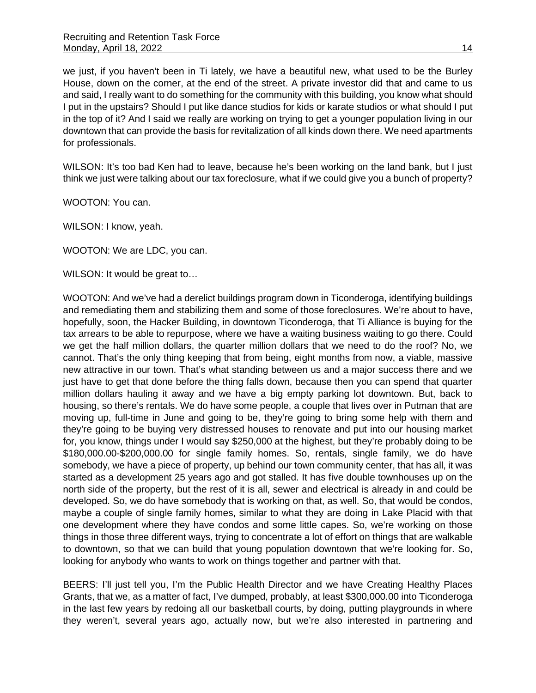we just, if you haven't been in Ti lately, we have a beautiful new, what used to be the Burley House, down on the corner, at the end of the street. A private investor did that and came to us and said, I really want to do something for the community with this building, you know what should I put in the upstairs? Should I put like dance studios for kids or karate studios or what should I put in the top of it? And I said we really are working on trying to get a younger population living in our downtown that can provide the basis for revitalization of all kinds down there. We need apartments for professionals.

WILSON: It's too bad Ken had to leave, because he's been working on the land bank, but I just think we just were talking about our tax foreclosure, what if we could give you a bunch of property?

WOOTON: You can.

WILSON: I know, yeah.

WOOTON: We are LDC, you can.

WILSON: It would be great to…

WOOTON: And we've had a derelict buildings program down in Ticonderoga, identifying buildings and remediating them and stabilizing them and some of those foreclosures. We're about to have, hopefully, soon, the Hacker Building, in downtown Ticonderoga, that Ti Alliance is buying for the tax arrears to be able to repurpose, where we have a waiting business waiting to go there. Could we get the half million dollars, the quarter million dollars that we need to do the roof? No, we cannot. That's the only thing keeping that from being, eight months from now, a viable, massive new attractive in our town. That's what standing between us and a major success there and we just have to get that done before the thing falls down, because then you can spend that quarter million dollars hauling it away and we have a big empty parking lot downtown. But, back to housing, so there's rentals. We do have some people, a couple that lives over in Putman that are moving up, full-time in June and going to be, they're going to bring some help with them and they're going to be buying very distressed houses to renovate and put into our housing market for, you know, things under I would say \$250,000 at the highest, but they're probably doing to be \$180,000.00-\$200,000.00 for single family homes. So, rentals, single family, we do have somebody, we have a piece of property, up behind our town community center, that has all, it was started as a development 25 years ago and got stalled. It has five double townhouses up on the north side of the property, but the rest of it is all, sewer and electrical is already in and could be developed. So, we do have somebody that is working on that, as well. So, that would be condos, maybe a couple of single family homes, similar to what they are doing in Lake Placid with that one development where they have condos and some little capes. So, we're working on those things in those three different ways, trying to concentrate a lot of effort on things that are walkable to downtown, so that we can build that young population downtown that we're looking for. So, looking for anybody who wants to work on things together and partner with that.

BEERS: I'll just tell you, I'm the Public Health Director and we have Creating Healthy Places Grants, that we, as a matter of fact, I've dumped, probably, at least \$300,000.00 into Ticonderoga in the last few years by redoing all our basketball courts, by doing, putting playgrounds in where they weren't, several years ago, actually now, but we're also interested in partnering and